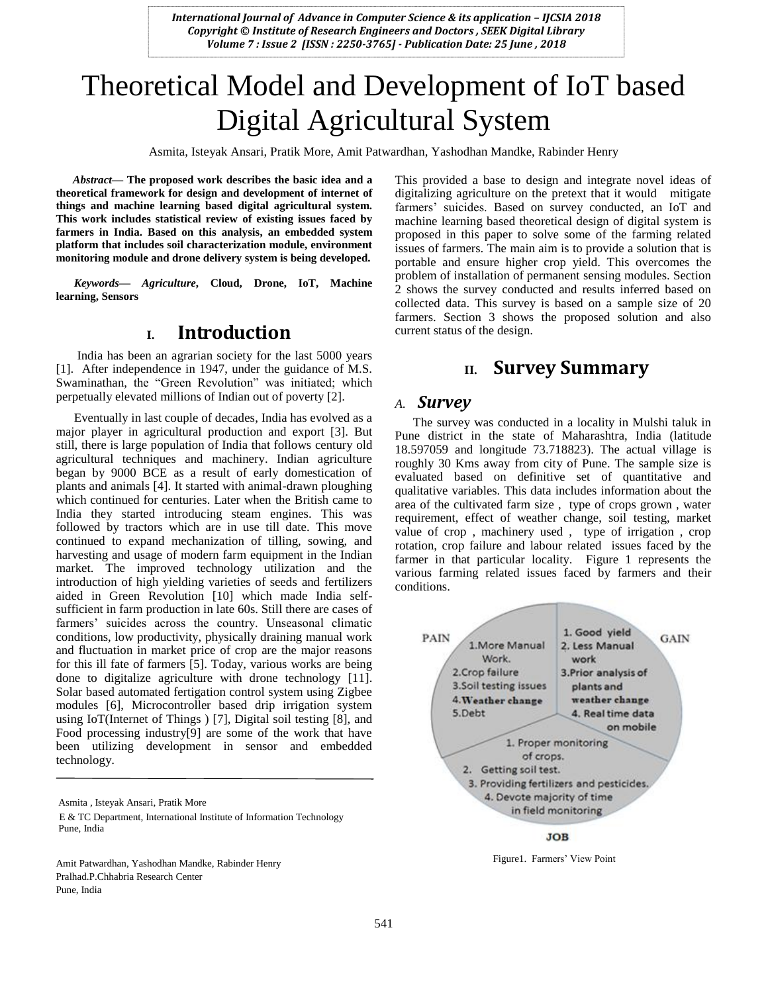# Theoretical Model and Development of IoT based Digital Agricultural System

Asmita, Isteyak Ansari, Pratik More, Amit Patwardhan, Yashodhan Mandke, Rabinder Henry

*Abstract***— The proposed work describes the basic idea and a theoretical framework for design and development of internet of things and machine learning based digital agricultural system. This work includes statistical review of existing issues faced by farmers in India. Based on this analysis, an embedded system platform that includes soil characterization module, environment monitoring module and drone delivery system is being developed.**

*Keywords— Agriculture***, Cloud, Drone, IoT, Machine learning, Sensors**

## **I. Introduction**

India has been an agrarian society for the last 5000 years [1]. After independence in 1947, under the guidance of M.S. Swaminathan, the "Green Revolution" was initiated; which perpetually elevated millions of Indian out of poverty [2].

Eventually in last couple of decades, India has evolved as a major player in agricultural production and export [3]. But still, there is large population of India that follows century old agricultural techniques and machinery. Indian agriculture began by 9000 BCE as a result of early domestication of plants and animals [4]. It started with animal-drawn ploughing which continued for centuries. Later when the British came to India they started introducing steam engines. This was followed by tractors which are in use till date. This move continued to expand mechanization of tilling, sowing, and harvesting and usage of modern farm equipment in the Indian market. The improved technology utilization and the introduction of high yielding varieties of seeds and fertilizers aided in Green Revolution [10] which made India selfsufficient in farm production in late 60s. Still there are cases of farmers' suicides across the country. Unseasonal climatic conditions, low productivity, physically draining manual work and fluctuation in market price of crop are the major reasons for this ill fate of farmers [5]. Today, various works are being done to digitalize agriculture with drone technology [11]. Solar based automated fertigation control system using Zigbee modules [6], Microcontroller based drip irrigation system using IoT(Internet of Things ) [7], Digital soil testing [8], and Food processing industry[9] are some of the work that have been utilizing development in sensor and embedded technology.

Amit Patwardhan, Yashodhan Mandke, Rabinder Henry Pralhad.P.Chhabria Research Center Pune, India

This provided a base to design and integrate novel ideas of digitalizing agriculture on the pretext that it would mitigate farmers' suicides. Based on survey conducted, an IoT and machine learning based theoretical design of digital system is proposed in this paper to solve some of the farming related issues of farmers. The main aim is to provide a solution that is portable and ensure higher crop yield. This overcomes the problem of installation of permanent sensing modules. Section 2 shows the survey conducted and results inferred based on collected data. This survey is based on a sample size of 20 farmers. Section 3 shows the proposed solution and also current status of the design.

# **II. Survey Summary**

#### *A. Survey*

The survey was conducted in a locality in Mulshi taluk in Pune district in the state of Maharashtra, India (latitude 18.597059 and longitude 73.718823). The actual village is roughly 30 Kms away from city of Pune. The sample size is evaluated based on definitive set of quantitative and qualitative variables. This data includes information about the area of the cultivated farm size , type of crops grown , water requirement, effect of weather change, soil testing, market value of crop , machinery used , type of irrigation , crop rotation, crop failure and labour related issues faced by the farmer in that particular locality. Figure 1 represents the various farming related issues faced by farmers and their conditions.



**JOB** 

Figure1. Farmers' View Point

Asmita *,* Isteyak Ansari*,* Pratik More E & TC Department, International Institute of Information Technology Pune, India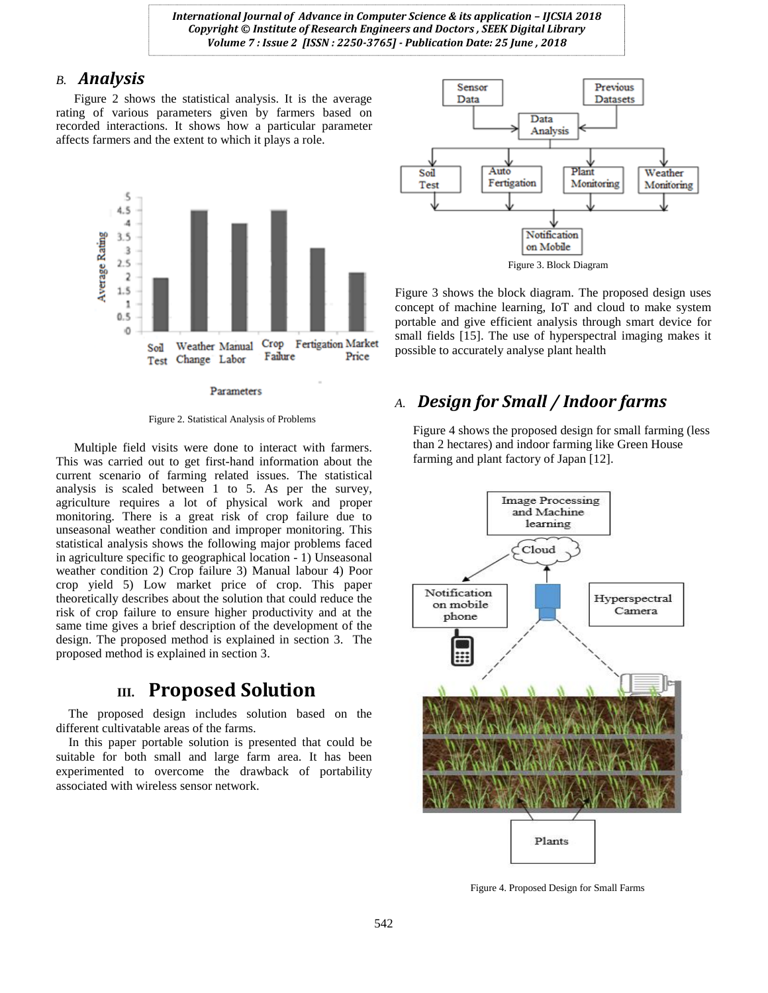#### *B. Analysis*

Figure 2 shows the statistical analysis. It is the average rating of various parameters given by farmers based on recorded interactions. It shows how a particular parameter affects farmers and the extent to which it plays a role.



Figure 2. Statistical Analysis of Problems

Multiple field visits were done to interact with farmers. This was carried out to get first-hand information about the current scenario of farming related issues. The statistical analysis is scaled between 1 to 5. As per the survey, agriculture requires a lot of physical work and proper monitoring. There is a great risk of crop failure due to unseasonal weather condition and improper monitoring. This statistical analysis shows the following major problems faced in agriculture specific to geographical location - 1) Unseasonal weather condition 2) Crop failure 3) Manual labour 4) Poor crop yield 5) Low market price of crop. This paper theoretically describes about the solution that could reduce the risk of crop failure to ensure higher productivity and at the same time gives a brief description of the development of the design. The proposed method is explained in section 3. The proposed method is explained in section 3.

# **III. Proposed Solution**

 The proposed design includes solution based on the different cultivatable areas of the farms.

 In this paper portable solution is presented that could be suitable for both small and large farm area. It has been experimented to overcome the drawback of portability associated with wireless sensor network.





Figure 3 shows the block diagram. The proposed design uses concept of machine learning, IoT and cloud to make system portable and give efficient analysis through smart device for small fields [15]. The use of hyperspectral imaging makes it possible to accurately analyse plant health

# *A. Design for Small / Indoor farms*

Figure 4 shows the proposed design for small farming (less than 2 hectares) and indoor farming like Green House farming and plant factory of Japan [12].



Figure 4. Proposed Design for Small Farms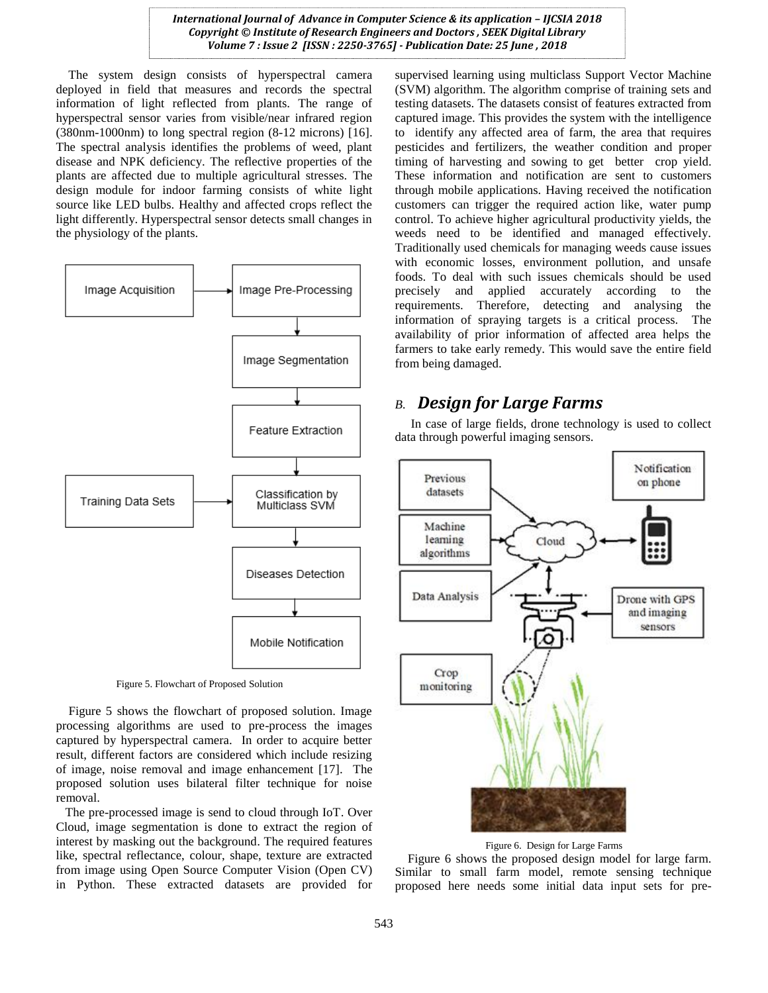The system design consists of hyperspectral camera deployed in field that measures and records the spectral information of light reflected from plants. The range of hyperspectral sensor varies from visible/near infrared region (380nm-1000nm) to long spectral region (8-12 microns) [16]. The spectral analysis identifies the problems of weed, plant disease and NPK deficiency. The reflective properties of the plants are affected due to multiple agricultural stresses. The design module for indoor farming consists of white light source like LED bulbs. Healthy and affected crops reflect the light differently. Hyperspectral sensor detects small changes in the physiology of the plants.



Figure 5. Flowchart of Proposed Solution

 Figure 5 shows the flowchart of proposed solution. Image processing algorithms are used to pre-process the images captured by hyperspectral camera. In order to acquire better result, different factors are considered which include resizing of image, noise removal and image enhancement [17]. The proposed solution uses bilateral filter technique for noise removal.

 The pre-processed image is send to cloud through IoT. Over Cloud, image segmentation is done to extract the region of interest by masking out the background. The required features like, spectral reflectance, colour, shape, texture are extracted from image using Open Source Computer Vision (Open CV) in Python. These extracted datasets are provided for

supervised learning using multiclass Support Vector Machine (SVM) algorithm. The algorithm comprise of training sets and testing datasets. The datasets consist of features extracted from captured image. This provides the system with the intelligence to identify any affected area of farm, the area that requires pesticides and fertilizers, the weather condition and proper timing of harvesting and sowing to get better crop yield. These information and notification are sent to customers through mobile applications. Having received the notification customers can trigger the required action like, water pump control. To achieve higher agricultural productivity yields, the weeds need to be identified and managed effectively. Traditionally used chemicals for managing weeds cause issues with economic losses, environment pollution, and unsafe foods. To deal with such issues chemicals should be used precisely and applied accurately according to the requirements. Therefore, detecting and analysing the information of spraying targets is a critical process. The availability of prior information of affected area helps the farmers to take early remedy. This would save the entire field from being damaged.

#### *B. Design for Large Farms*

 In case of large fields, drone technology is used to collect data through powerful imaging sensors.



Figure 6. Design for Large Farms

 Figure 6 shows the proposed design model for large farm. Similar to small farm model, remote sensing technique proposed here needs some initial data input sets for pre-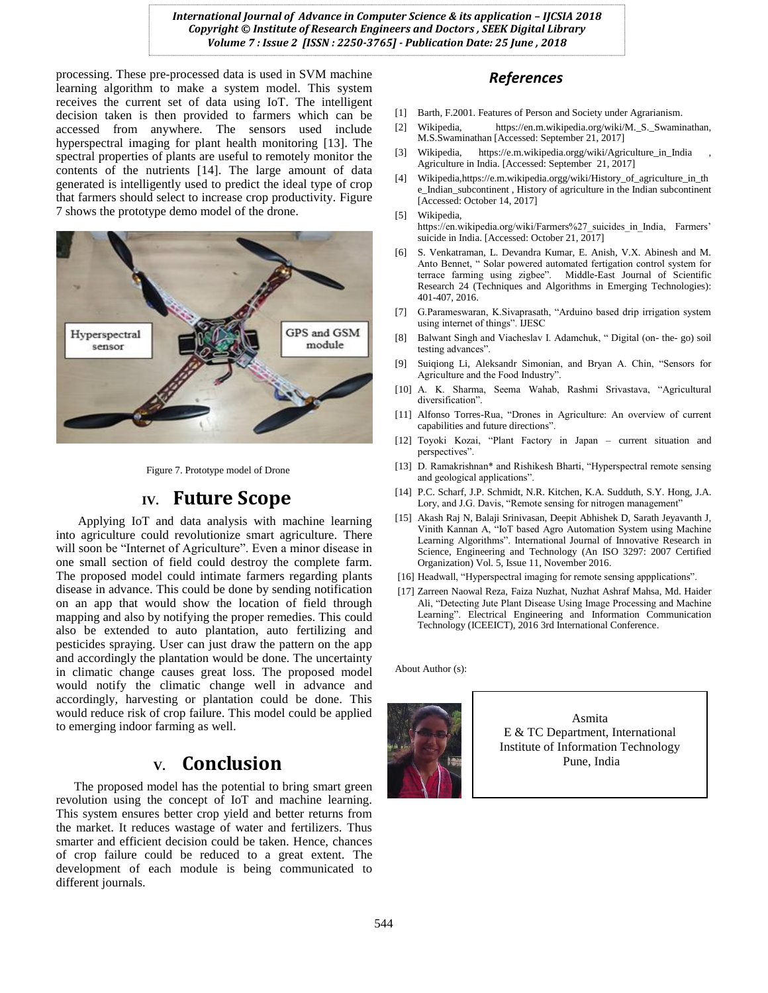processing. These pre-processed data is used in SVM machine learning algorithm to make a system model. This system receives the current set of data using IoT. The intelligent decision taken is then provided to farmers which can be accessed from anywhere. The sensors used include hyperspectral imaging for plant health monitoring [13]. The spectral properties of plants are useful to remotely monitor the contents of the nutrients [14]. The large amount of data generated is intelligently used to predict the ideal type of crop that farmers should select to increase crop productivity. Figure 7 shows the prototype demo model of the drone.



Figure 7. Prototype model of Drone

## **IV. Future Scope**

 Applying IoT and data analysis with machine learning into agriculture could revolutionize smart agriculture. There will soon be "Internet of Agriculture". Even a minor disease in one small section of field could destroy the complete farm. The proposed model could intimate farmers regarding plants disease in advance. This could be done by sending notification on an app that would show the location of field through mapping and also by notifying the proper remedies. This could also be extended to auto plantation, auto fertilizing and pesticides spraying. User can just draw the pattern on the app and accordingly the plantation would be done. The uncertainty in climatic change causes great loss. The proposed model would notify the climatic change well in advance and accordingly, harvesting or plantation could be done. This would reduce risk of crop failure. This model could be applied to emerging indoor farming as well.

# **V. Conclusion**

The proposed model has the potential to bring smart green revolution using the concept of IoT and machine learning. This system ensures better crop yield and better returns from the market. It reduces wastage of water and fertilizers. Thus smarter and efficient decision could be taken. Hence, chances of crop failure could be reduced to a great extent. The development of each module is being communicated to different journals.

#### *References*

- [1] Barth, F.2001. Features of Person and Society under Agrarianism.
- [2] Wikipedia, https://en.m.wikipedia.org/wiki/M.\_S.\_Swaminathan, M.S.Swaminathan [Accessed: September 21, 2017]
- [3] Wikipedia, https://e.m.wikipedia.orgg/wiki/Agriculture\_in\_India , Agriculture in India. [Accessed: September 21, 2017]
- [4] Wikipedia,https://e.m.wikipedia.orgg/wiki/History\_of\_agriculture\_in\_th e\_Indian\_subcontinent , History of agriculture in the Indian subcontinent [Accessed: October 14, 2017]
- [5] Wikipedia,

https://en.wikipedia.org/wiki/Farmers%27\_suicides\_in\_India, Farmers' suicide in India. [Accessed: October 21, 2017]

- [6] S. Venkatraman, L. Devandra Kumar, E. Anish, V.X. Abinesh and M. Anto Bennet, " Solar powered automated fertigation control system for terrace farming using zigbee". Middle-East Journal of Scientific Research 24 (Techniques and Algorithms in Emerging Technologies): 401-407, 2016.
- [7] G.Parameswaran, K.Sivaprasath, "Arduino based drip irrigation system using internet of things". IJESC
- [8] Balwant Singh and Viacheslav I. Adamchuk, " Digital (on- the- go) soil testing advances".
- [9] Suiqiong Li, Aleksandr Simonian, and Bryan A. Chin, "Sensors for Agriculture and the Food Industry".
- [10] A. K. Sharma, Seema Wahab, Rashmi Srivastava, "Agricultural diversification".
- [11] Alfonso Torres-Rua, "Drones in Agriculture: An overview of current capabilities and future directions".
- [12] Toyoki Kozai, "Plant Factory in Japan current situation and perspectives".
- [13] D. Ramakrishnan\* and Rishikesh Bharti, "Hyperspectral remote sensing and geological applications".
- [14] P.C. Scharf, J.P. Schmidt, N.R. Kitchen, K.A. Sudduth, S.Y. Hong, J.A. Lory, and J.G. Davis, "Remote sensing for nitrogen management"
- [15] Akash Raj N, Balaji Srinivasan, Deepit Abhishek D, Sarath Jeyavanth J, Vinith Kannan A, "IoT based Agro Automation System using Machine Learning Algorithms". International Journal of Innovative Research in Science, Engineering and Technology (An ISO 3297: 2007 Certified Organization) Vol. 5, Issue 11, November 2016.
- [16] Headwall, "Hyperspectral imaging for remote sensing appplications".
- [17] Zarreen Naowal Reza, Faiza Nuzhat, Nuzhat Ashraf Mahsa, Md. Haider Ali, "Detecting Jute Plant Disease Using Image Processing and Machine Learning". Electrical Engineering and Information Communication Technology (ICEEICT), 2016 3rd International Conference.

About Author (s):



Asmita E & TC Department, International Institute of Information Technology Pune, India